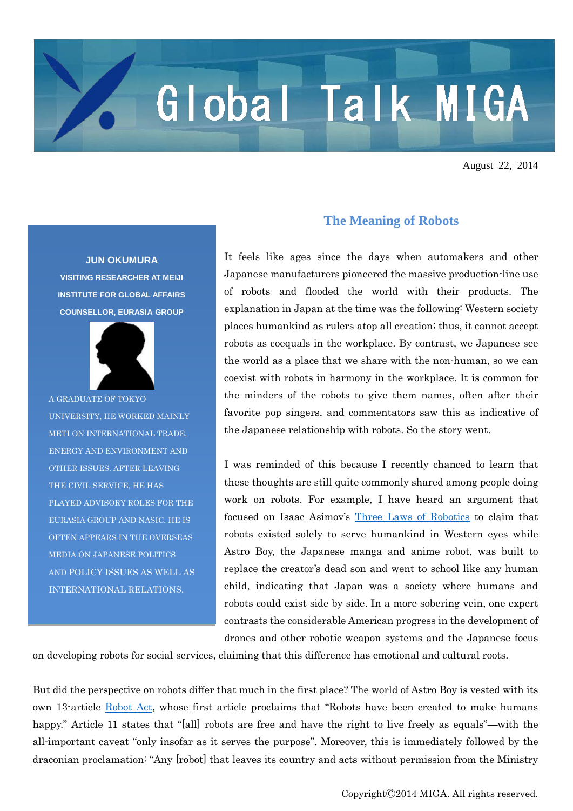## Global Talk MIGA

August 22, 2014

**JUN OKUMURA VISITING RESEARCHER AT MEIJI INSTITUTE FOR GLOBAL AFFAIRS COUNSELLOR, EURASIA GROUP**



A GRADUATE OF TOKYO UNIVERSITY, HE WORKED MAINLY METI ON INTERNATIONAL TRADE, ENERGY AND ENVIRONMENT AND OTHER ISSUES. AFTER LEAVING THE CIVIL SERVICE, HE HAS PLAYED ADVISORY ROLES FOR THE EURASIA GROUP AND NASIC. HE IS OFTEN APPEARS IN THE OVERSEAS MEDIA ON JAPANESE POLITICS AND POLICY ISSUES AS WELL AS INTERNATIONAL RELATIONS.

## **The Meaning of Robots**

It feels like ages since the days when automakers and other Japanese manufacturers pioneered the massive production-line use of robots and flooded the world with their products. The explanation in Japan at the time was the following: Western society places humankind as rulers atop all creation; thus, it cannot accept robots as coequals in the workplace. By contrast, we Japanese see the world as a place that we share with the non-human, so we can coexist with robots in harmony in the workplace. It is common for the minders of the robots to give them names, often after their favorite pop singers, and commentators saw this as indicative of the Japanese relationship with robots. So the story went.

I was reminded of this because I recently chanced to learn that these thoughts are still quite commonly shared among people doing work on robots. For example, I have heard an argument that focused on Isaac Asimov's [Three Laws of Robotics](https://www.princeton.edu/~achaney/tmve/wiki100k/docs/Three_Laws_of_Robotics.html) to claim that robots existed solely to serve humankind in Western eyes while Astro Boy, the Japanese manga and anime robot, was built to replace the creator's dead son and went to school like any human child, indicating that Japan was a society where humans and robots could exist side by side. In a more sobering vein, one expert contrasts the considerable American progress in the development of drones and other robotic weapon systems and the Japanese focus

on developing robots for social services, claiming that this difference has emotional and cultural roots.

But did the perspective on robots differ that much in the first place? The world of Astro Boy is vested with its own 13-article [Robot Act,](http://mojamoja.s57.xrea.com/yokuwakaran-folda/im-hosoku18.html) whose first article proclaims that "Robots have been created to make humans happy." Article 11 states that "[all] robots are free and have the right to live freely as equals"—with the all-important caveat "only insofar as it serves the purpose". Moreover, this is immediately followed by the draconian proclamation: "Any [robot] that leaves its country and acts without permission from the Ministry